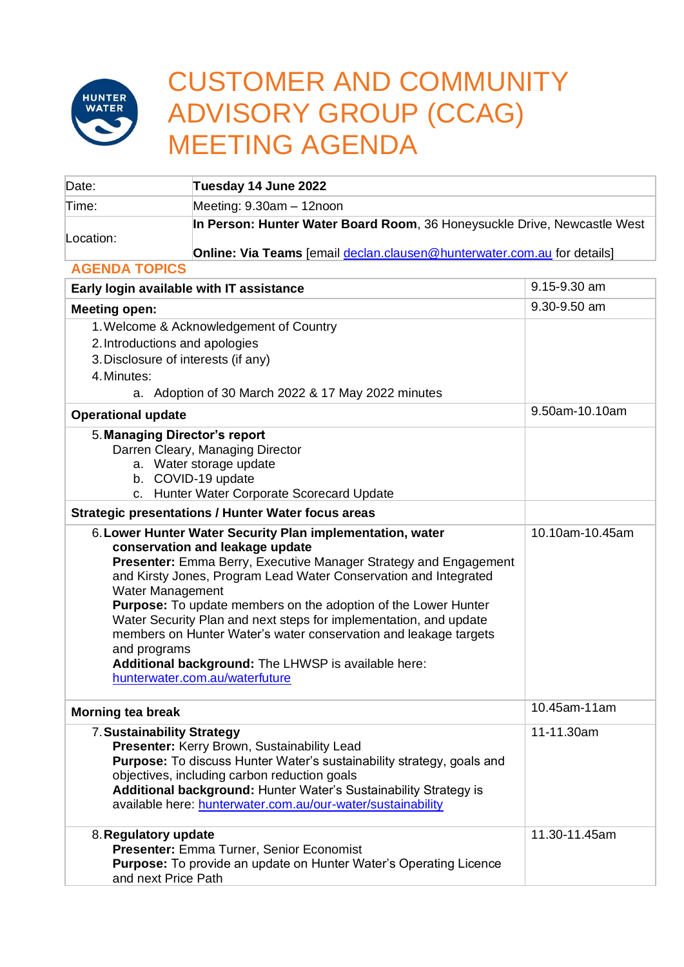

## CUSTOMER AND COMMUNITY ADVISORY GROUP (CCAG) MEETING AGENDA

| Date:                                                                                                                                                                                                                                                                                                                                                                                                                                                                                                                                                                               | Tuesday 14 June 2022                                                                                                                                                                                                                                                                                    |                                 |  |
|-------------------------------------------------------------------------------------------------------------------------------------------------------------------------------------------------------------------------------------------------------------------------------------------------------------------------------------------------------------------------------------------------------------------------------------------------------------------------------------------------------------------------------------------------------------------------------------|---------------------------------------------------------------------------------------------------------------------------------------------------------------------------------------------------------------------------------------------------------------------------------------------------------|---------------------------------|--|
| Time:                                                                                                                                                                                                                                                                                                                                                                                                                                                                                                                                                                               | Meeting: 9.30am - 12noon                                                                                                                                                                                                                                                                                |                                 |  |
|                                                                                                                                                                                                                                                                                                                                                                                                                                                                                                                                                                                     | In Person: Hunter Water Board Room, 36 Honeysuckle Drive, Newcastle West                                                                                                                                                                                                                                |                                 |  |
| Location:                                                                                                                                                                                                                                                                                                                                                                                                                                                                                                                                                                           | Online: Via Teams [email declan.clausen@hunterwater.com.au for details]                                                                                                                                                                                                                                 |                                 |  |
| <b>AGENDA TOPICS</b>                                                                                                                                                                                                                                                                                                                                                                                                                                                                                                                                                                |                                                                                                                                                                                                                                                                                                         |                                 |  |
| Early login available with IT assistance                                                                                                                                                                                                                                                                                                                                                                                                                                                                                                                                            |                                                                                                                                                                                                                                                                                                         | 9.15-9.30 am                    |  |
| <b>Meeting open:</b>                                                                                                                                                                                                                                                                                                                                                                                                                                                                                                                                                                |                                                                                                                                                                                                                                                                                                         | 9.30-9.50 am                    |  |
|                                                                                                                                                                                                                                                                                                                                                                                                                                                                                                                                                                                     | 1. Welcome & Acknowledgement of Country                                                                                                                                                                                                                                                                 |                                 |  |
| 2. Introductions and apologies                                                                                                                                                                                                                                                                                                                                                                                                                                                                                                                                                      |                                                                                                                                                                                                                                                                                                         |                                 |  |
| 3. Disclosure of interests (if any)                                                                                                                                                                                                                                                                                                                                                                                                                                                                                                                                                 |                                                                                                                                                                                                                                                                                                         |                                 |  |
| 4. Minutes:                                                                                                                                                                                                                                                                                                                                                                                                                                                                                                                                                                         |                                                                                                                                                                                                                                                                                                         |                                 |  |
|                                                                                                                                                                                                                                                                                                                                                                                                                                                                                                                                                                                     | a. Adoption of 30 March 2022 & 17 May 2022 minutes                                                                                                                                                                                                                                                      |                                 |  |
| <b>Operational update</b>                                                                                                                                                                                                                                                                                                                                                                                                                                                                                                                                                           |                                                                                                                                                                                                                                                                                                         | 9.50am-10.10am                  |  |
| 5. Managing Director's report<br>Darren Cleary, Managing Director<br>a. Water storage update<br>b. COVID-19 update<br>c. Hunter Water Corporate Scorecard Update                                                                                                                                                                                                                                                                                                                                                                                                                    |                                                                                                                                                                                                                                                                                                         |                                 |  |
|                                                                                                                                                                                                                                                                                                                                                                                                                                                                                                                                                                                     | <b>Strategic presentations / Hunter Water focus areas</b>                                                                                                                                                                                                                                               |                                 |  |
| 6. Lower Hunter Water Security Plan implementation, water<br>conservation and leakage update<br>Presenter: Emma Berry, Executive Manager Strategy and Engagement<br>and Kirsty Jones, Program Lead Water Conservation and Integrated<br>Water Management<br><b>Purpose:</b> To update members on the adoption of the Lower Hunter<br>Water Security Plan and next steps for implementation, and update<br>members on Hunter Water's water conservation and leakage targets<br>and programs<br>Additional background: The LHWSP is available here:<br>hunterwater.com.au/waterfuture |                                                                                                                                                                                                                                                                                                         | 10.10am-10.45am<br>10.45am-11am |  |
| <b>Morning tea break</b>                                                                                                                                                                                                                                                                                                                                                                                                                                                                                                                                                            |                                                                                                                                                                                                                                                                                                         |                                 |  |
| 7. Sustainability Strategy                                                                                                                                                                                                                                                                                                                                                                                                                                                                                                                                                          | Presenter: Kerry Brown, Sustainability Lead<br>Purpose: To discuss Hunter Water's sustainability strategy, goals and<br>objectives, including carbon reduction goals<br>Additional background: Hunter Water's Sustainability Strategy is<br>available here: hunterwater.com.au/our-water/sustainability | 11-11.30am                      |  |
| 8. Regulatory update<br>and next Price Path                                                                                                                                                                                                                                                                                                                                                                                                                                                                                                                                         | Presenter: Emma Turner, Senior Economist<br><b>Purpose:</b> To provide an update on Hunter Water's Operating Licence                                                                                                                                                                                    | 11.30-11.45am                   |  |